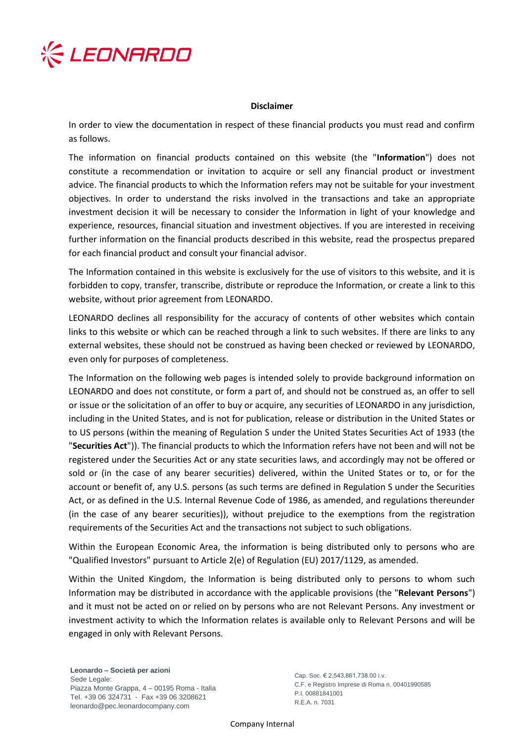

## **Disclaimer**

In order to view the documentation in respect of these financial products you must read and confirm as follows.

The information on financial products contained on this website (the "**Information**") does not constitute a recommendation or invitation to acquire or sell any financial product or investment advice. The financial products to which the Information refers may not be suitable for your investment objectives. In order to understand the risks involved in the transactions and take an appropriate investment decision it will be necessary to consider the Information in light of your knowledge and experience, resources, financial situation and investment objectives. If you are interested in receiving further information on the financial products described in this website, read the prospectus prepared for each financial product and consult your financial advisor.

The Information contained in this website is exclusively for the use of visitors to this website, and it is forbidden to copy, transfer, transcribe, distribute or reproduce the Information, or create a link to this website, without prior agreement from LEONARDO.

LEONARDO declines all responsibility for the accuracy of contents of other websites which contain links to this website or which can be reached through a link to such websites. If there are links to any external websites, these should not be construed as having been checked or reviewed by LEONARDO, even only for purposes of completeness.

The Information on the following web pages is intended solely to provide background information on LEONARDO and does not constitute, or form a part of, and should not be construed as, an offer to sell or issue or the solicitation of an offer to buy or acquire, any securities of LEONARDO in any jurisdiction, including in the United States, and is not for publication, release or distribution in the United States or to US persons (within the meaning of Regulation S under the United States Securities Act of 1933 (the "**Securities Act**")). The financial products to which the Information refers have not been and will not be registered under the Securities Act or any state securities laws, and accordingly may not be offered or sold or (in the case of any bearer securities) delivered, within the United States or to, or for the account or benefit of, any U.S. persons (as such terms are defined in Regulation S under the Securities Act, or as defined in the U.S. Internal Revenue Code of 1986, as amended, and regulations thereunder (in the case of any bearer securities)), without prejudice to the exemptions from the registration requirements of the Securities Act and the transactions not subject to such obligations.

Within the European Economic Area, the information is being distributed only to persons who are "Qualified Investors" pursuant to Article 2(e) of Regulation (EU) 2017/1129, as amended.

Within the United Kingdom, the Information is being distributed only to persons to whom such Information may be distributed in accordance with the applicable provisions (the "**Relevant Persons**") and it must not be acted on or relied on by persons who are not Relevant Persons. Any investment or investment activity to which the Information relates is available only to Relevant Persons and will be engaged in only with Relevant Persons.

**Leonardo – Società per azioni** Sede Legale: Piazza Monte Grappa, 4 – 00195 Roma - Italia Tel. +39 06 324731 - Fax +39 06 3208621 leonardo@pec.leonardocompany.com

Cap. Soc. € 2,543,861,738.00 i.v. C.F. e Registro Imprese di Roma n. 00401990585 P.I. 00881841001 R.E.A. n. 7031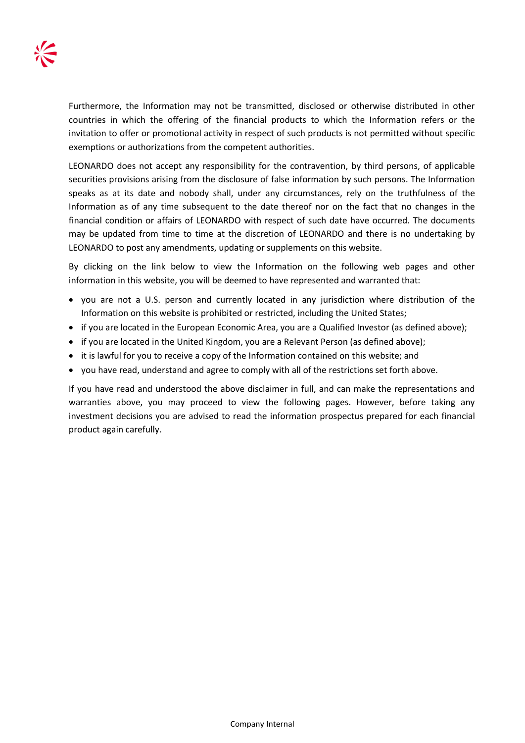Furthermore, the Information may not be transmitted, disclosed or otherwise distributed in other countries in which the offering of the financial products to which the Information refers or the invitation to offer or promotional activity in respect of such products is not permitted without specific exemptions or authorizations from the competent authorities.

LEONARDO does not accept any responsibility for the contravention, by third persons, of applicable securities provisions arising from the disclosure of false information by such persons. The Information speaks as at its date and nobody shall, under any circumstances, rely on the truthfulness of the Information as of any time subsequent to the date thereof nor on the fact that no changes in the financial condition or affairs of LEONARDO with respect of such date have occurred. The documents may be updated from time to time at the discretion of LEONARDO and there is no undertaking by LEONARDO to post any amendments, updating or supplements on this website.

By clicking on the link below to view the Information on the following web pages and other information in this website, you will be deemed to have represented and warranted that:

- you are not a U.S. person and currently located in any jurisdiction where distribution of the Information on this website is prohibited or restricted, including the United States;
- if you are located in the European Economic Area, you are a Qualified Investor (as defined above);
- if you are located in the United Kingdom, you are a Relevant Person (as defined above);
- it is lawful for you to receive a copy of the Information contained on this website; and
- you have read, understand and agree to comply with all of the restrictions set forth above.

If you have read and understood the above disclaimer in full, and can make the representations and warranties above, you may proceed to view the following pages. However, before taking any investment decisions you are advised to read the information prospectus prepared for each financial product again carefully.